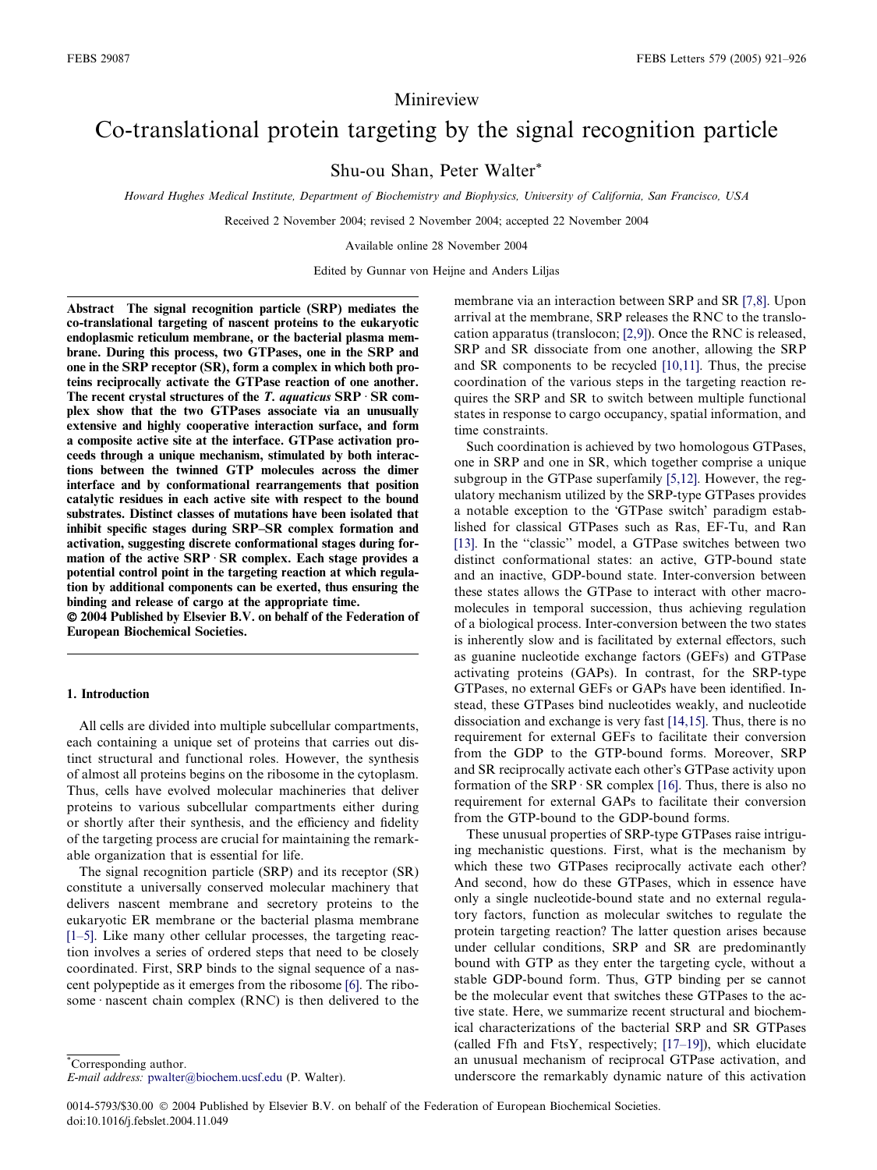# Minireview

# Co-translational protein targeting by the signal recognition particle

# Shu-ou Shan, Peter Walter\*

Howard Hughes Medical Institute, Department of Biochemistry and Biophysics, University of California, San Francisco, USA

Received 2 November 2004; revised 2 November 2004; accepted 22 November 2004

Available online 28 November 2004

Edited by Gunnar von Heijne and Anders Liljas

Abstract The signal recognition particle (SRP) mediates the co-translational targeting of nascent proteins to the eukaryotic endoplasmic reticulum membrane, or the bacterial plasma membrane. During this process, two GTPases, one in the SRP and one in the SRP receptor (SR), form a complex in which both proteins reciprocally activate the GTPase reaction of one another. The recent crystal structures of the  $T$ . aquaticus  $\text{SRP} \cdot \text{SR}$  complex show that the two GTPases associate via an unusually extensive and highly cooperative interaction surface, and form a composite active site at the interface. GTPase activation proceeds through a unique mechanism, stimulated by both interactions between the twinned GTP molecules across the dimer interface and by conformational rearrangements that position catalytic residues in each active site with respect to the bound substrates. Distinct classes of mutations have been isolated that inhibit specific stages during SRP–SR complex formation and activation, suggesting discrete conformational stages during formation of the active  $\text{SRP} \cdot \text{SR}$  complex. Each stage provides a potential control point in the targeting reaction at which regulation by additional components can be exerted, thus ensuring the binding and release of cargo at the appropriate time.

 2004 Published by Elsevier B.V. on behalf of the Federation of European Biochemical Societies.

#### 1. Introduction

All cells are divided into multiple subcellular compartments, each containing a unique set of proteins that carries out distinct structural and functional roles. However, the synthesis of almost all proteins begins on the ribosome in the cytoplasm. Thus, cells have evolved molecular machineries that deliver proteins to various subcellular compartments either during or shortly after their synthesis, and the efficiency and fidelity of the targeting process are crucial for maintaining the remarkable organization that is essential for life.

The signal recognition particle (SRP) and its receptor (SR) constitute a universally conserved molecular machinery that delivers nascent membrane and secretory proteins to the eukaryotic ER membrane or the bacterial plasma membrane [\[1–5\].](#page-5-0) Like many other cellular processes, the targeting reaction involves a series of ordered steps that need to be closely coordinated. First, SRP binds to the signal sequence of a nascent polypeptide as it emerges from the ribosome [\[6\].](#page-5-0) The ribosome  $\cdot$  nascent chain complex (RNC) is then delivered to the membrane via an interaction between SRP and SR [\[7,8\]](#page-5-0). Upon arrival at the membrane, SRP releases the RNC to the translocation apparatus (translocon; [\[2,9\]](#page-5-0)). Once the RNC is released, SRP and SR dissociate from one another, allowing the SRP and SR components to be recycled [\[10,11\].](#page-5-0) Thus, the precise coordination of the various steps in the targeting reaction requires the SRP and SR to switch between multiple functional states in response to cargo occupancy, spatial information, and time constraints.

Such coordination is achieved by two homologous GTPases, one in SRP and one in SR, which together comprise a unique subgroup in the GTPase superfamily [\[5,12\]](#page-5-0). However, the regulatory mechanism utilized by the SRP-type GTPases provides a notable exception to the 'GTPase switch' paradigm established for classical GTPases such as Ras, EF-Tu, and Ran [\[13\]](#page-5-0). In the "classic" model, a GTPase switches between two distinct conformational states: an active, GTP-bound state and an inactive, GDP-bound state. Inter-conversion between these states allows the GTPase to interact with other macromolecules in temporal succession, thus achieving regulation of a biological process. Inter-conversion between the two states is inherently slow and is facilitated by external effectors, such as guanine nucleotide exchange factors (GEFs) and GTPase activating proteins (GAPs). In contrast, for the SRP-type GTPases, no external GEFs or GAPs have been identified. Instead, these GTPases bind nucleotides weakly, and nucleotide dissociation and exchange is very fast [\[14,15\].](#page-5-0) Thus, there is no requirement for external GEFs to facilitate their conversion from the GDP to the GTP-bound forms. Moreover, SRP and SR reciprocally activate each other's GTPase activity upon formation of the  $SRP \cdot SR$  complex [\[16\].](#page-5-0) Thus, there is also no requirement for external GAPs to facilitate their conversion from the GTP-bound to the GDP-bound forms.

These unusual properties of SRP-type GTPases raise intriguing mechanistic questions. First, what is the mechanism by which these two GTPases reciprocally activate each other? And second, how do these GTPases, which in essence have only a single nucleotide-bound state and no external regulatory factors, function as molecular switches to regulate the protein targeting reaction? The latter question arises because under cellular conditions, SRP and SR are predominantly bound with GTP as they enter the targeting cycle, without a stable GDP-bound form. Thus, GTP binding per se cannot be the molecular event that switches these GTPases to the active state. Here, we summarize recent structural and biochemical characterizations of the bacterial SRP and SR GTPases (called Ffh and FtsY, respectively; [\[17–19\]](#page-5-0)), which elucidate an unusual mechanism of reciprocal GTPase activation, and underscore the remarkably dynamic nature of this activation

<sup>\*</sup> Corresponding author.

E-mail address: [pwalter@biochem.ucsf.edu](mailto:pwalter@biochem.ucsf.edu ) (P. Walter).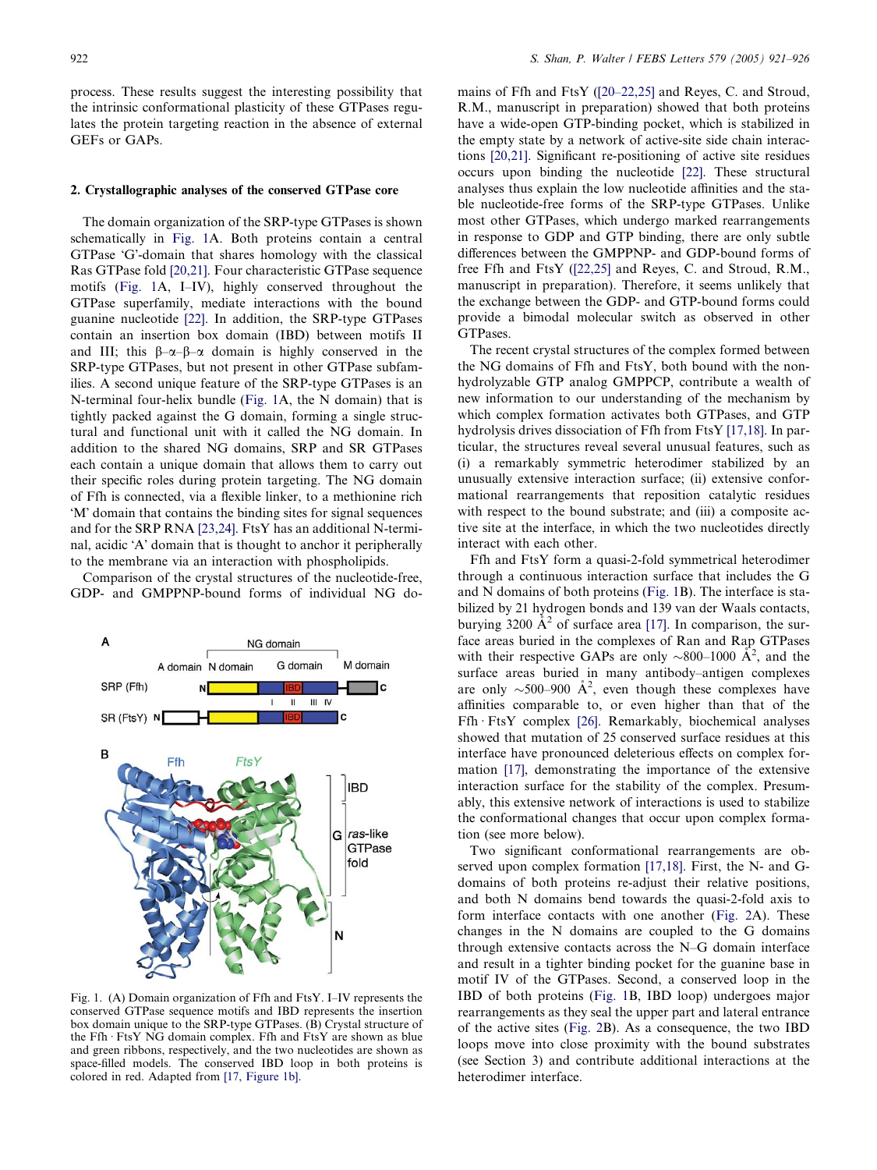process. These results suggest the interesting possibility that the intrinsic conformational plasticity of these GTPases regulates the protein targeting reaction in the absence of external GEFs or GAPs.

#### 2. Crystallographic analyses of the conserved GTPase core

The domain organization of the SRP-type GTPases is shown schematically in Fig. 1A. Both proteins contain a central GTPase 'G'-domain that shares homology with the classical Ras GTPase fold [\[20,21\].](#page-5-0) Four characteristic GTPase sequence motifs (Fig. 1A, I–IV), highly conserved throughout the GTPase superfamily, mediate interactions with the bound guanine nucleotide [\[22\]](#page-5-0). In addition, the SRP-type GTPases contain an insertion box domain (IBD) between motifs II and III; this  $\beta-\alpha-\beta-\alpha$  domain is highly conserved in the SRP-type GTPases, but not present in other GTPase subfamilies. A second unique feature of the SRP-type GTPases is an N-terminal four-helix bundle (Fig. 1A, the N domain) that is tightly packed against the G domain, forming a single structural and functional unit with it called the NG domain. In addition to the shared NG domains, SRP and SR GTPases each contain a unique domain that allows them to carry out their specific roles during protein targeting. The NG domain of Ffh is connected, via a flexible linker, to a methionine rich 'M' domain that contains the binding sites for signal sequences and for the SRP RNA [\[23,24\].](#page-5-0) FtsY has an additional N-terminal, acidic 'A' domain that is thought to anchor it peripherally to the membrane via an interaction with phospholipids.

Comparison of the crystal structures of the nucleotide-free, GDP- and GMPPNP-bound forms of individual NG do-



Fig. 1. (A) Domain organization of Ffh and FtsY. I–IV represents the conserved GTPase sequence motifs and IBD represents the insertion box domain unique to the SRP-type GTPases. (B) Crystal structure of the Ffh  $FtsY$  NG domain complex. Ffh and  $FtsY$  are shown as blue and green ribbons, respectively, and the two nucleotides are shown as space-filled models. The conserved IBD loop in both proteins is colored in red. Adapted from [\[17, Figure 1b\].](#page-5-0)

mains of Ffh and FtsY ([\[20–22,25\]](#page-5-0) and Reyes, C. and Stroud, R.M., manuscript in preparation) showed that both proteins have a wide-open GTP-binding pocket, which is stabilized in the empty state by a network of active-site side chain interactions [\[20,21\]](#page-5-0). Significant re-positioning of active site residues occurs upon binding the nucleotide [\[22\]](#page-5-0). These structural analyses thus explain the low nucleotide affinities and the stable nucleotide-free forms of the SRP-type GTPases. Unlike most other GTPases, which undergo marked rearrangements in response to GDP and GTP binding, there are only subtle differences between the GMPPNP- and GDP-bound forms of free Ffh and FtsY ([\[22,25\]](#page-5-0) and Reyes, C. and Stroud, R.M., manuscript in preparation). Therefore, it seems unlikely that the exchange between the GDP- and GTP-bound forms could provide a bimodal molecular switch as observed in other GTPases.

The recent crystal structures of the complex formed between the NG domains of Ffh and FtsY, both bound with the nonhydrolyzable GTP analog GMPPCP, contribute a wealth of new information to our understanding of the mechanism by which complex formation activates both GTPases, and GTP hydrolysis drives dissociation of Ffh from FtsY [\[17,18\].](#page-5-0) In particular, the structures reveal several unusual features, such as (i) a remarkably symmetric heterodimer stabilized by an unusually extensive interaction surface; (ii) extensive conformational rearrangements that reposition catalytic residues with respect to the bound substrate; and (iii) a composite active site at the interface, in which the two nucleotides directly interact with each other.

Ffh and FtsY form a quasi-2-fold symmetrical heterodimer through a continuous interaction surface that includes the G and N domains of both proteins (Fig. 1B). The interface is stabilized by 21 hydrogen bonds and 139 van der Waals contacts, burying 3200  $\AA^2$  of surface area [\[17\].](#page-5-0) In comparison, the surface areas buried in the complexes of Ran and Rap GTPases with their respective GAPs are only  $\sim 800-1000 \text{ Å}^2$ , and the surface areas buried in many antibody–antigen complexes are only  $\sim$ 500–900 Å<sup>2</sup>, even though these complexes have affinities comparable to, or even higher than that of the  $Ffh$  FtsY complex [\[26\].](#page-5-0) Remarkably, biochemical analyses showed that mutation of 25 conserved surface residues at this interface have pronounced deleterious effects on complex formation [\[17\]](#page-5-0), demonstrating the importance of the extensive interaction surface for the stability of the complex. Presumably, this extensive network of interactions is used to stabilize the conformational changes that occur upon complex formation (see more below).

Two significant conformational rearrangements are observed upon complex formation [\[17,18\].](#page-5-0) First, the N- and Gdomains of both proteins re-adjust their relative positions, and both N domains bend towards the quasi-2-fold axis to form interface contacts with one another [\(Fig. 2A](#page-2-0)). These changes in the N domains are coupled to the G domains through extensive contacts across the N–G domain interface and result in a tighter binding pocket for the guanine base in motif IV of the GTPases. Second, a conserved loop in the IBD of both proteins (Fig. 1B, IBD loop) undergoes major rearrangements as they seal the upper part and lateral entrance of the active sites [\(Fig. 2](#page-2-0)B). As a consequence, the two IBD loops move into close proximity with the bound substrates (see Section 3) and contribute additional interactions at the heterodimer interface.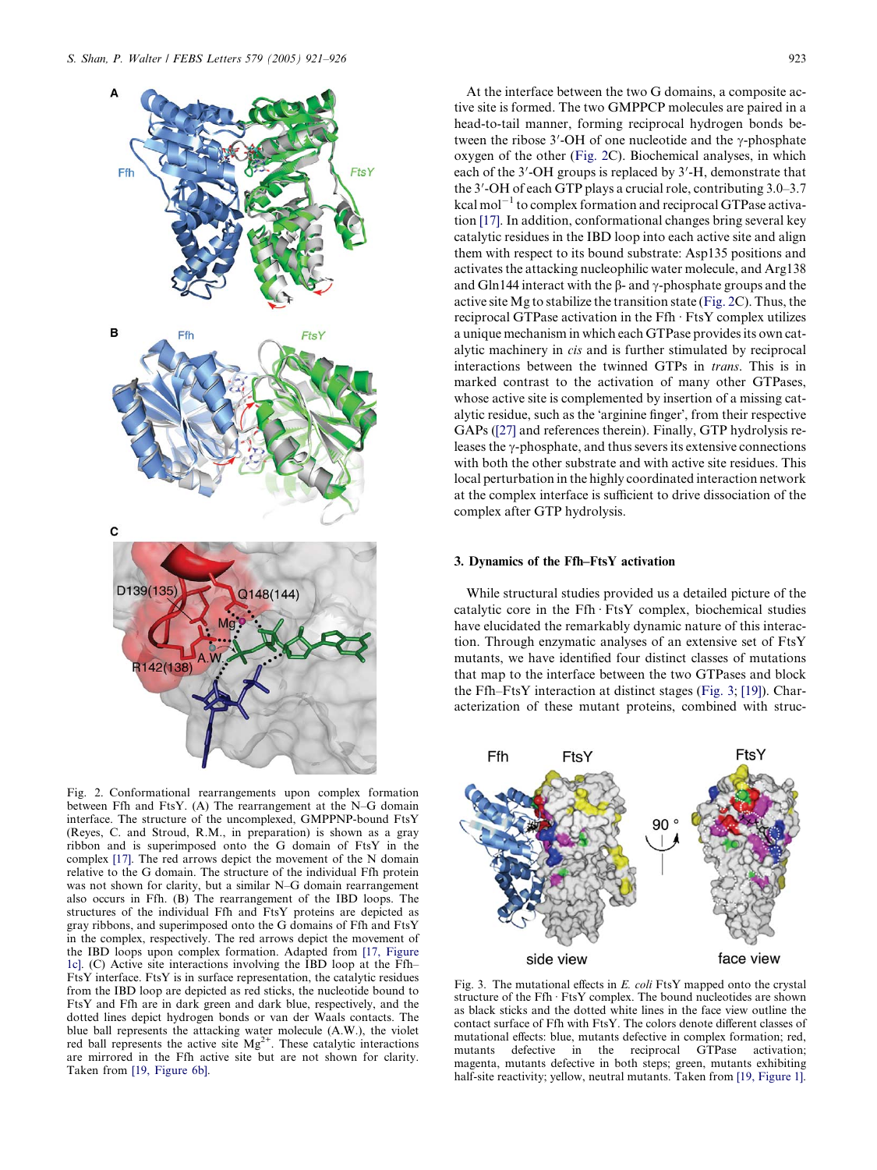<span id="page-2-0"></span>

Fig. 2. Conformational rearrangements upon complex formation between Ffh and FtsY. (A) The rearrangement at the N–G domain interface. The structure of the uncomplexed, GMPPNP-bound FtsY (Reyes, C. and Stroud, R.M., in preparation) is shown as a gray ribbon and is superimposed onto the G domain of FtsY in the complex [\[17\].](#page-5-0) The red arrows depict the movement of the N domain relative to the G domain. The structure of the individual Ffh protein was not shown for clarity, but a similar N–G domain rearrangement also occurs in Ffh. (B) The rearrangement of the IBD loops. The structures of the individual Ffh and FtsY proteins are depicted as gray ribbons, and superimposed onto the G domains of Ffh and FtsY in the complex, respectively. The red arrows depict the movement of the IBD loops upon complex formation. Adapted from [\[17, Figure](#page-5-0) [1c\].](#page-5-0) (C) Active site interactions involving the IBD loop at the Ffh– FtsY interface. FtsY is in surface representation, the catalytic residues from the IBD loop are depicted as red sticks, the nucleotide bound to FtsY and Ffh are in dark green and dark blue, respectively, and the dotted lines depict hydrogen bonds or van der Waals contacts. The blue ball represents the attacking water molecule  $(A.W.)$ , the violet red ball represents the active site  $Mg^{2+}$ . These catalytic interactions are mirrored in the Ffh active site but are not shown for clarity. Taken from [\[19, Figure 6b\].](#page-5-0)

At the interface between the two G domains, a composite active site is formed. The two GMPPCP molecules are paired in a head-to-tail manner, forming reciprocal hydrogen bonds between the ribose  $3'$ -OH of one nucleotide and the  $\gamma$ -phosphate oxygen of the other (Fig. 2C). Biochemical analyses, in which each of the 3'-OH groups is replaced by 3'-H, demonstrate that the 3'-OH of each GTP plays a crucial role, contributing 3.0-3.7 kcal mol<sup>-1</sup> to complex formation and reciprocal GTPase activation [\[17\]](#page-5-0). In addition, conformational changes bring several key catalytic residues in the IBD loop into each active site and align them with respect to its bound substrate: Asp135 positions and activates the attacking nucleophilic water molecule, and Arg138 and Gln144 interact with the  $\beta$ - and  $\gamma$ -phosphate groups and the active site Mg to stabilize the transition state (Fig. 2C). Thus, the reciprocal GTPase activation in the  $Ffh$   $FtsY$  complex utilizes a unique mechanism in which each GTPase provides its own catalytic machinery in cis and is further stimulated by reciprocal interactions between the twinned GTPs in trans. This is in marked contrast to the activation of many other GTPases, whose active site is complemented by insertion of a missing catalytic residue, such as the 'arginine finger', from their respective GAPs ([\[27\]](#page-5-0) and references therein). Finally, GTP hydrolysis releases the  $\gamma$ -phosphate, and thus severs its extensive connections with both the other substrate and with active site residues. This local perturbation in the highly coordinated interaction network at the complex interface is sufficient to drive dissociation of the complex after GTP hydrolysis.

#### 3. Dynamics of the Ffh–FtsY activation

While structural studies provided us a detailed picture of the catalytic core in the  $Ffh$   $FtsY$  complex, biochemical studies have elucidated the remarkably dynamic nature of this interaction. Through enzymatic analyses of an extensive set of FtsY mutants, we have identified four distinct classes of mutations that map to the interface between the two GTPases and block the Ffh–FtsY interaction at distinct stages (Fig. 3; [\[19\]](#page-5-0)). Characterization of these mutant proteins, combined with struc-



Fig. 3. The mutational effects in E. coli FtsY mapped onto the crystal structure of the  $Ffh \cdot FtsY$  complex. The bound nucleotides are shown as black sticks and the dotted white lines in the face view outline the contact surface of Ffh with FtsY. The colors denote different classes of mutational effects: blue, mutants defective in complex formation; red, mutants defective in the reciprocal GTPase activation; magenta, mutants defective in both steps; green, mutants exhibiting half-site reactivity; yellow, neutral mutants. Taken from [\[19, Figure 1\]](#page-5-0).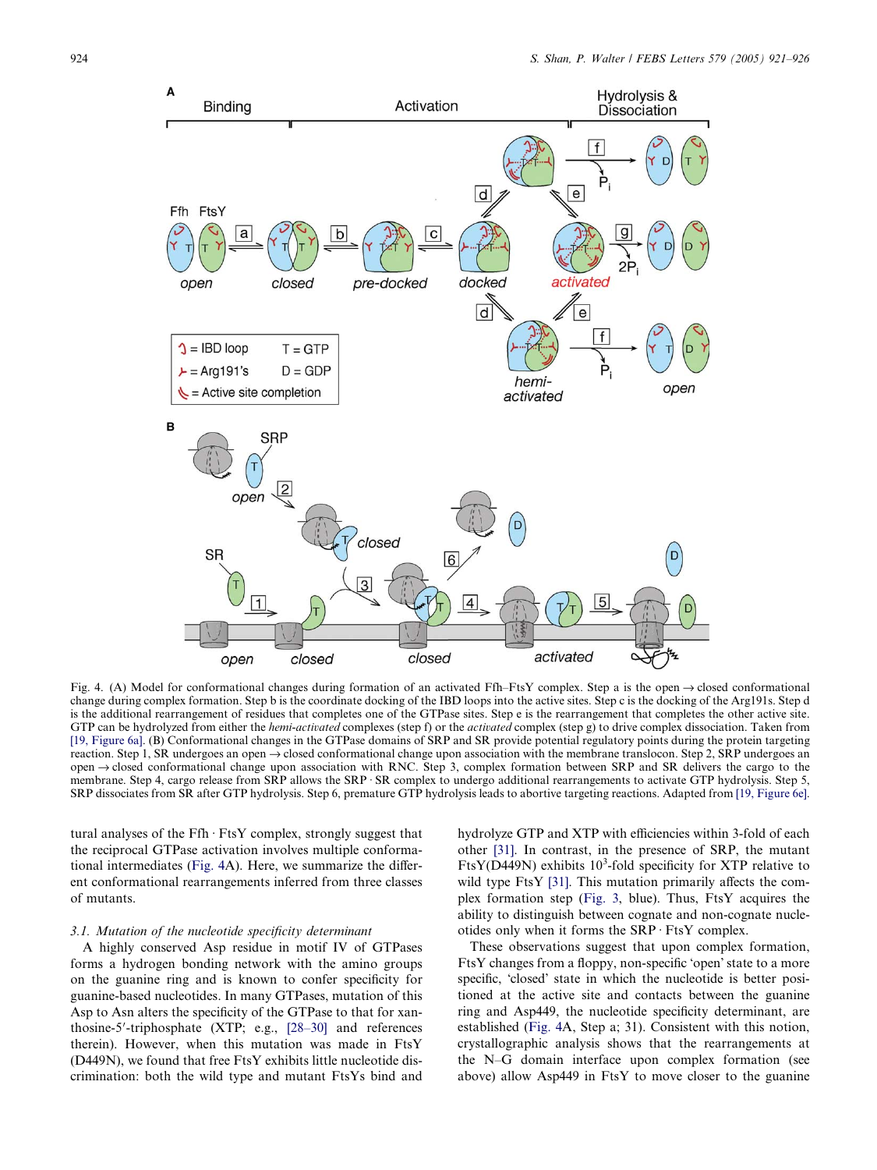<span id="page-3-0"></span>

Fig. 4. (A) Model for conformational changes during formation of an activated Ffh–FtsY complex. Step a is the open  $\rightarrow$  closed conformational change during complex formation. Step b is the coordinate docking of the IBD loops into the active sites. Step c is the docking of the Arg191s. Step d is the additional rearrangement of residues that completes one of the GTPase sites. Step e is the rearrangement that completes the other active site. GTP can be hydrolyzed from either the *hemi-activated* complexes (step f) or the *activated* complex (step g) to drive complex dissociation. Taken from [\[19, Figure 6a\].](#page-5-0) (B) Conformational changes in the GTPase domains of SRP and SR provide potential regulatory points during the protein targeting reaction. Step 1, SR undergoes an open  $\rightarrow$  closed conformational change upon association with the membrane translocon. Step 2, SRP undergoes an  $open \rightarrow closed$  conformational change upon association with RNC. Step 3, complex formation between SRP and SR delivers the cargo to the membrane. Step 4, cargo release from SRP allows the SRP · SR complex to undergo additional rearrangements to activate GTP hydrolysis. Step 5, SRP dissociates from SR after GTP hydrolysis. Step 6, premature GTP hydrolysis leads to abortive targeting reactions. Adapted from [\[19, Figure 6e\].](#page-5-0)

tural analyses of the  $Ffh$   $FtsY$  complex, strongly suggest that the reciprocal GTPase activation involves multiple conformational intermediates (Fig. 4A). Here, we summarize the different conformational rearrangements inferred from three classes of mutants.

#### 3.1. Mutation of the nucleotide specificity determinant

A highly conserved Asp residue in motif IV of GTPases forms a hydrogen bonding network with the amino groups on the guanine ring and is known to confer specificity for guanine-based nucleotides. In many GTPases, mutation of this Asp to Asn alters the specificity of the GTPase to that for xanthosine-5'-triphosphate (XTP; e.g., [28-30] and references therein). However, when this mutation was made in FtsY (D449N), we found that free FtsY exhibits little nucleotide discrimination: both the wild type and mutant FtsYs bind and hydrolyze GTP and XTP with efficiencies within 3-fold of each other [\[31\]](#page-5-0). In contrast, in the presence of SRP, the mutant FtsY(D449N) exhibits  $10^3$ -fold specificity for XTP relative to wild type FtsY [\[31\]](#page-5-0). This mutation primarily affects the complex formation step [\(Fig. 3](#page-2-0), blue). Thus, FtsY acquires the ability to distinguish between cognate and non-cognate nucleotides only when it forms the  $SRP \cdot FtsY$  complex.

These observations suggest that upon complex formation, FtsY changes from a floppy, non-specific 'open' state to a more specific, 'closed' state in which the nucleotide is better positioned at the active site and contacts between the guanine ring and Asp449, the nucleotide specificity determinant, are established (Fig. 4A, Step a; 31). Consistent with this notion, crystallographic analysis shows that the rearrangements at the N–G domain interface upon complex formation (see above) allow Asp449 in FtsY to move closer to the guanine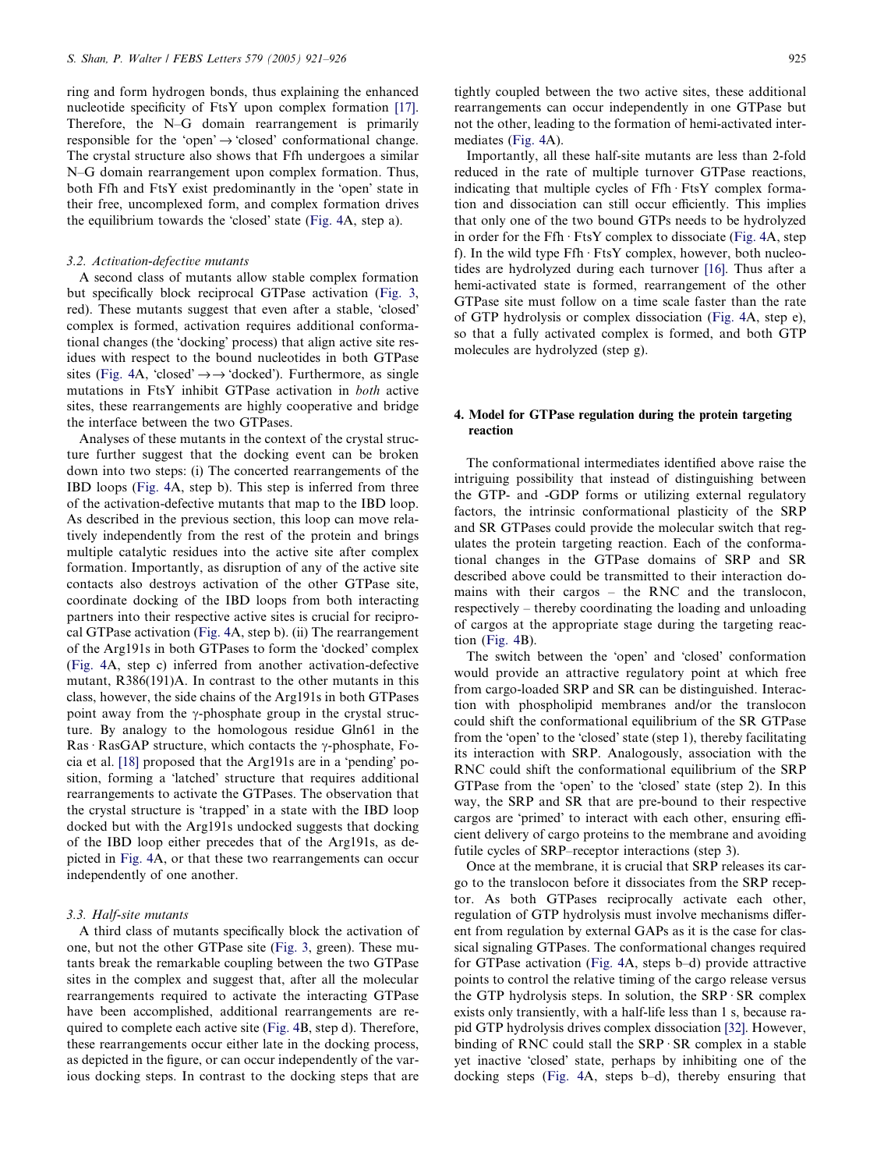ring and form hydrogen bonds, thus explaining the enhanced nucleotide specificity of FtsY upon complex formation [\[17\]](#page-5-0). Therefore, the N–G domain rearrangement is primarily responsible for the 'open'  $\rightarrow$  'closed' conformational change. The crystal structure also shows that Ffh undergoes a similar N–G domain rearrangement upon complex formation. Thus, both Ffh and FtsY exist predominantly in the 'open' state in their free, uncomplexed form, and complex formation drives the equilibrium towards the 'closed' state [\(Fig. 4](#page-3-0)A, step a).

#### 3.2. Activation-defective mutants

A second class of mutants allow stable complex formation but specifically block reciprocal GTPase activation ([Fig. 3,](#page-2-0) red). These mutants suggest that even after a stable, 'closed' complex is formed, activation requires additional conformational changes (the 'docking' process) that align active site residues with respect to the bound nucleotides in both GTPase sites [\(Fig. 4A](#page-3-0), 'closed'  $\rightarrow \rightarrow$  'docked'). Furthermore, as single mutations in FtsY inhibit GTPase activation in both active sites, these rearrangements are highly cooperative and bridge the interface between the two GTPases.

Analyses of these mutants in the context of the crystal structure further suggest that the docking event can be broken down into two steps: (i) The concerted rearrangements of the IBD loops ([Fig. 4A](#page-3-0), step b). This step is inferred from three of the activation-defective mutants that map to the IBD loop. As described in the previous section, this loop can move relatively independently from the rest of the protein and brings multiple catalytic residues into the active site after complex formation. Importantly, as disruption of any of the active site contacts also destroys activation of the other GTPase site, coordinate docking of the IBD loops from both interacting partners into their respective active sites is crucial for reciprocal GTPase activation ([Fig. 4A](#page-3-0), step b). (ii) The rearrangement of the Arg191s in both GTPases to form the 'docked' complex [\(Fig. 4A](#page-3-0), step c) inferred from another activation-defective mutant, R386(191)A. In contrast to the other mutants in this class, however, the side chains of the Arg191s in both GTPases point away from the  $\gamma$ -phosphate group in the crystal structure. By analogy to the homologous residue Gln61 in the Ras  $RasGAP$  structure, which contacts the  $\gamma$ -phosphate, Fo-cia et al. [\[18\]](#page-5-0) proposed that the Arg191s are in a 'pending' position, forming a 'latched' structure that requires additional rearrangements to activate the GTPases. The observation that the crystal structure is 'trapped' in a state with the IBD loop docked but with the Arg191s undocked suggests that docking of the IBD loop either precedes that of the Arg191s, as depicted in [Fig. 4](#page-3-0)A, or that these two rearrangements can occur independently of one another.

#### 3.3. Half-site mutants

A third class of mutants specifically block the activation of one, but not the other GTPase site ([Fig. 3](#page-2-0), green). These mutants break the remarkable coupling between the two GTPase sites in the complex and suggest that, after all the molecular rearrangements required to activate the interacting GTPase have been accomplished, additional rearrangements are required to complete each active site [\(Fig. 4B](#page-3-0), step d). Therefore, these rearrangements occur either late in the docking process, as depicted in the figure, or can occur independently of the various docking steps. In contrast to the docking steps that are tightly coupled between the two active sites, these additional rearrangements can occur independently in one GTPase but not the other, leading to the formation of hemi-activated intermediates ([Fig. 4A](#page-3-0)).

Importantly, all these half-site mutants are less than 2-fold reduced in the rate of multiple turnover GTPase reactions, indicating that multiple cycles of  $Ffh$   $FtsY$  complex formation and dissociation can still occur efficiently. This implies that only one of the two bound GTPs needs to be hydrolyzed in order for the  $Ffh$   $FtsY$  complex to dissociate [\(Fig. 4](#page-3-0)A, step f). In the wild type  $Ffh \cdot FtsY$  complex, however, both nucleotides are hydrolyzed during each turnover [\[16\]](#page-5-0). Thus after a hemi-activated state is formed, rearrangement of the other GTPase site must follow on a time scale faster than the rate of GTP hydrolysis or complex dissociation [\(Fig. 4A](#page-3-0), step e), so that a fully activated complex is formed, and both GTP molecules are hydrolyzed (step g).

## 4. Model for GTPase regulation during the protein targeting reaction

The conformational intermediates identified above raise the intriguing possibility that instead of distinguishing between the GTP- and -GDP forms or utilizing external regulatory factors, the intrinsic conformational plasticity of the SRP and SR GTPases could provide the molecular switch that regulates the protein targeting reaction. Each of the conformational changes in the GTPase domains of SRP and SR described above could be transmitted to their interaction domains with their cargos – the RNC and the translocon, respectively – thereby coordinating the loading and unloading of cargos at the appropriate stage during the targeting reaction [\(Fig. 4](#page-3-0)B).

The switch between the 'open' and 'closed' conformation would provide an attractive regulatory point at which free from cargo-loaded SRP and SR can be distinguished. Interaction with phospholipid membranes and/or the translocon could shift the conformational equilibrium of the SR GTPase from the 'open' to the 'closed' state (step 1), thereby facilitating its interaction with SRP. Analogously, association with the RNC could shift the conformational equilibrium of the SRP GTPase from the 'open' to the 'closed' state (step 2). In this way, the SRP and SR that are pre-bound to their respective cargos are 'primed' to interact with each other, ensuring efficient delivery of cargo proteins to the membrane and avoiding futile cycles of SRP–receptor interactions (step 3).

Once at the membrane, it is crucial that SRP releases its cargo to the translocon before it dissociates from the SRP receptor. As both GTPases reciprocally activate each other, regulation of GTP hydrolysis must involve mechanisms different from regulation by external GAPs as it is the case for classical signaling GTPases. The conformational changes required for GTPase activation [\(Fig. 4](#page-3-0)A, steps b–d) provide attractive points to control the relative timing of the cargo release versus the GTP hydrolysis steps. In solution, the  $SRP \cdot SR$  complex exists only transiently, with a half-life less than 1 s, because rapid GTP hydrolysis drives complex dissociation [\[32\].](#page-5-0) However, binding of RNC could stall the  $SRP \cdot SR$  complex in a stable yet inactive 'closed' state, perhaps by inhibiting one of the docking steps [\(Fig. 4](#page-3-0)A, steps b–d), thereby ensuring that